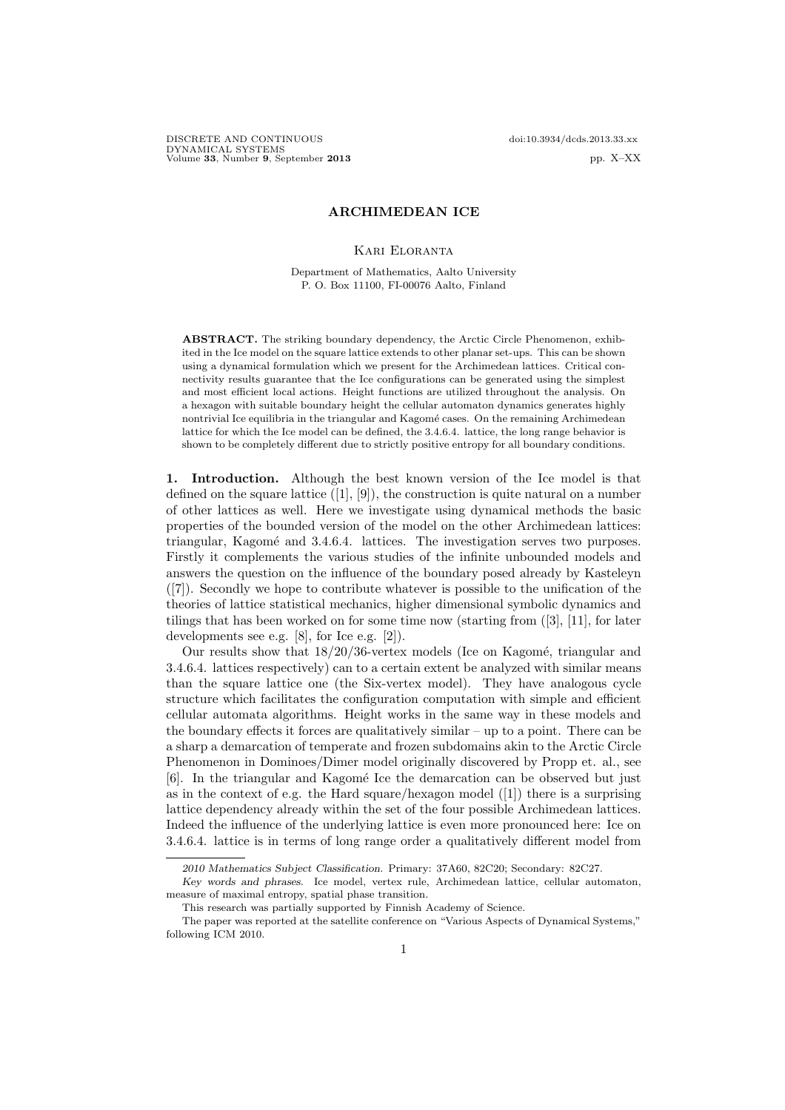DISCRETE AND CONTINUOUS doi:10.3934/dcds.2013.33.xx DYNAMICAL SYSTEMS Volume 33, Number 9, September 2013 pp. X-XX

# ARCHIMEDEAN ICE

## Kari Eloranta

Department of Mathematics, Aalto University P. O. Box 11100, FI-00076 Aalto, Finland

ABSTRACT. The striking boundary dependency, the Arctic Circle Phenomenon, exhibited in the Ice model on the square lattice extends to other planar set-ups. This can be shown using a dynamical formulation which we present for the Archimedean lattices. Critical connectivity results guarantee that the Ice configurations can be generated using the simplest and most efficient local actions. Height functions are utilized throughout the analysis. On a hexagon with suitable boundary height the cellular automaton dynamics generates highly nontrivial Ice equilibria in the triangular and Kagomé cases. On the remaining Archimedean lattice for which the Ice model can be defined, the 3.4.6.4. lattice, the long range behavior is shown to be completely different due to strictly positive entropy for all boundary conditions.

1. Introduction. Although the best known version of the Ice model is that defined on the square lattice  $([1], [9])$ , the construction is quite natural on a number of other lattices as well. Here we investigate using dynamical methods the basic properties of the bounded version of the model on the other Archimedean lattices: triangular, Kagomé and 3.4.6.4. lattices. The investigation serves two purposes. Firstly it complements the various studies of the infinite unbounded models and answers the question on the influence of the boundary posed already by Kasteleyn ([7]). Secondly we hope to contribute whatever is possible to the unification of the theories of lattice statistical mechanics, higher dimensional symbolic dynamics and tilings that has been worked on for some time now (starting from  $(3)$ ,  $[11]$ , for later developments see e.g. [8], for Ice e.g. [2]).

Our results show that  $18/20/36$ -vertex models (Ice on Kagomé, triangular and 3.4.6.4. lattices respectively) can to a certain extent be analyzed with similar means than the square lattice one (the Six-vertex model). They have analogous cycle structure which facilitates the configuration computation with simple and efficient cellular automata algorithms. Height works in the same way in these models and the boundary effects it forces are qualitatively similar  $-\text{up to a point}$ . There can be a sharp a demarcation of temperate and frozen subdomains akin to the Arctic Circle Phenomenon in Dominoes/Dimer model originally discovered by Propp et. al., see [6]. In the triangular and Kagom´e Ice the demarcation can be observed but just as in the context of e.g. the Hard square/hexagon model  $([1])$  there is a surprising lattice dependency already within the set of the four possible Archimedean lattices. Indeed the influence of the underlying lattice is even more pronounced here: Ice on 3.4.6.4. lattice is in terms of long range order a qualitatively different model from

<sup>2010</sup> Mathematics Subject Classification. Primary: 37A60, 82C20; Secondary: 82C27.

Key words and phrases. Ice model, vertex rule, Archimedean lattice, cellular automaton, measure of maximal entropy, spatial phase transition.

This research was partially supported by Finnish Academy of Science.

The paper was reported at the satellite conference on "Various Aspects of Dynamical Systems," following ICM 2010.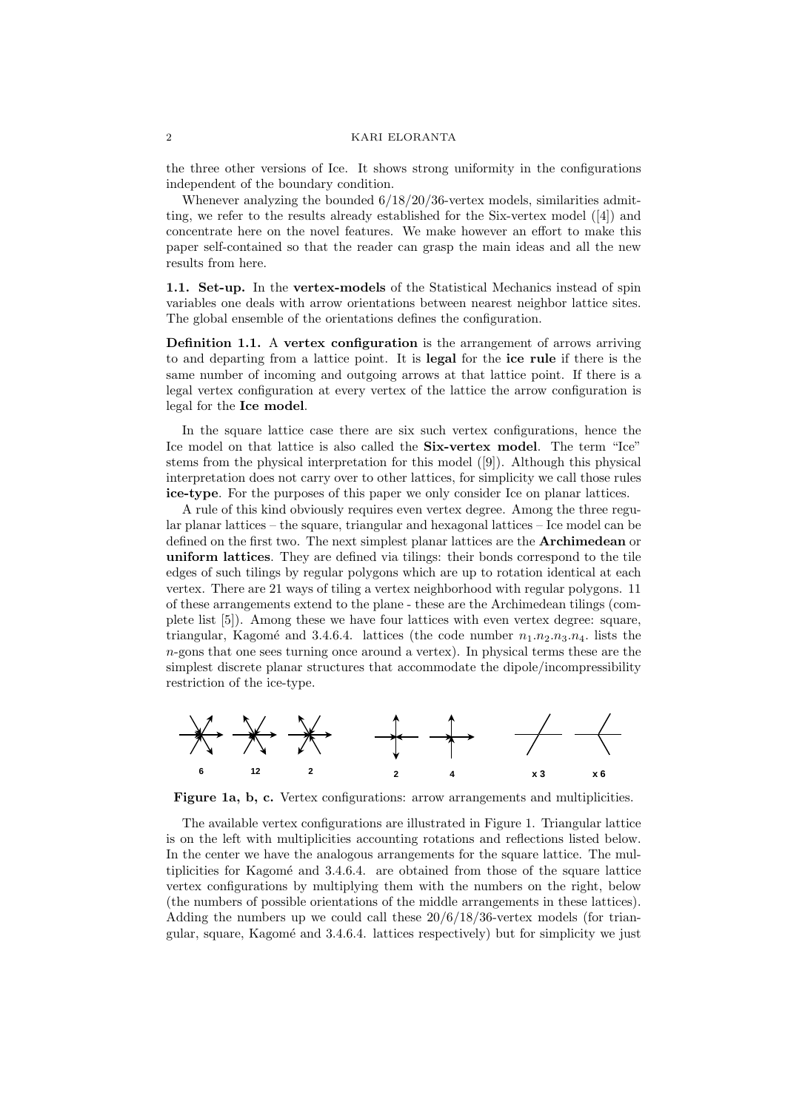the three other versions of Ice. It shows strong uniformity in the configurations independent of the boundary condition.

Whenever analyzing the bounded  $6/18/20/36$ -vertex models, similarities admitting, we refer to the results already established for the Six-vertex model ([4]) and concentrate here on the novel features. We make however an effort to make this paper self-contained so that the reader can grasp the main ideas and all the new results from here.

1.1. Set-up. In the vertex-models of the Statistical Mechanics instead of spin variables one deals with arrow orientations between nearest neighbor lattice sites. The global ensemble of the orientations defines the configuration.

Definition 1.1. A vertex configuration is the arrangement of arrows arriving to and departing from a lattice point. It is legal for the ice rule if there is the same number of incoming and outgoing arrows at that lattice point. If there is a legal vertex configuration at every vertex of the lattice the arrow configuration is legal for the Ice model.

In the square lattice case there are six such vertex configurations, hence the Ice model on that lattice is also called the Six-vertex model. The term "Ice" stems from the physical interpretation for this model ([9]). Although this physical interpretation does not carry over to other lattices, for simplicity we call those rules ice-type. For the purposes of this paper we only consider Ice on planar lattices.

A rule of this kind obviously requires even vertex degree. Among the three regular planar lattices – the square, triangular and hexagonal lattices – Ice model can be defined on the first two. The next simplest planar lattices are the Archimedean or uniform lattices. They are defined via tilings: their bonds correspond to the tile edges of such tilings by regular polygons which are up to rotation identical at each vertex. There are 21 ways of tiling a vertex neighborhood with regular polygons. 11 of these arrangements extend to the plane - these are the Archimedean tilings (complete list [5]). Among these we have four lattices with even vertex degree: square, triangular, Kagomé and 3.4.6.4. lattices (the code number  $n_1.n_2.n_3.n_4$ . lists the n-gons that one sees turning once around a vertex). In physical terms these are the simplest discrete planar structures that accommodate the dipole/incompressibility restriction of the ice-type.



Figure 1a, b, c. Vertex configurations: arrow arrangements and multiplicities.

The available vertex configurations are illustrated in Figure 1. Triangular lattice is on the left with multiplicities accounting rotations and reflections listed below. In the center we have the analogous arrangements for the square lattice. The multiplicities for Kagomé and  $3.4.6.4$ . are obtained from those of the square lattice vertex configurations by multiplying them with the numbers on the right, below (the numbers of possible orientations of the middle arrangements in these lattices). Adding the numbers up we could call these  $20/6/18/36$ -vertex models (for triangular, square, Kagomé and 3.4.6.4. lattices respectively) but for simplicity we just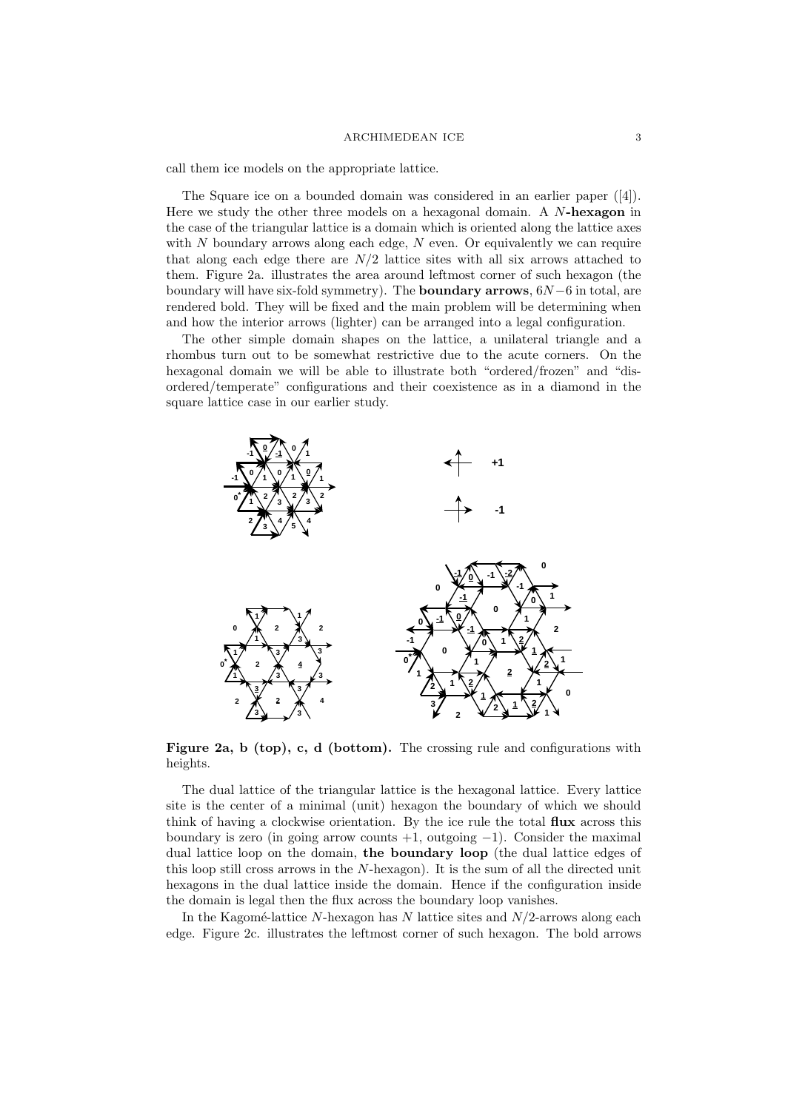#### $\begin{tabular}{c} A RCHIMEDEAN~ICE \end{tabular} \hspace{1in} 3$

call them ice models on the appropriate lattice.

The Square ice on a bounded domain was considered in an earlier paper ([4]). Here we study the other three models on a hexagonal domain. A N-hexagon in the case of the triangular lattice is a domain which is oriented along the lattice axes with  $N$  boundary arrows along each edge,  $N$  even. Or equivalently we can require that along each edge there are  $N/2$  lattice sites with all six arrows attached to them. Figure 2a. illustrates the area around leftmost corner of such hexagon (the boundary will have six-fold symmetry). The **boundary arrows**,  $6N - 6$  in total, are rendered bold. They will be fixed and the main problem will be determining when and how the interior arrows (lighter) can be arranged into a legal configuration.

The other simple domain shapes on the lattice, a unilateral triangle and a rhombus turn out to be somewhat restrictive due to the acute corners. On the hexagonal domain we will be able to illustrate both "ordered/frozen" and "disordered/temperate" configurations and their coexistence as in a diamond in the square lattice case in our earlier study.



Figure 2a, b (top), c, d (bottom). The crossing rule and configurations with heights.

The dual lattice of the triangular lattice is the hexagonal lattice. Every lattice site is the center of a minimal (unit) hexagon the boundary of which we should think of having a clockwise orientation. By the ice rule the total flux across this boundary is zero (in going arrow counts  $+1$ , outgoing  $-1$ ). Consider the maximal dual lattice loop on the domain, the boundary loop (the dual lattice edges of this loop still cross arrows in the N-hexagon). It is the sum of all the directed unit hexagons in the dual lattice inside the domain. Hence if the configuration inside the domain is legal then the flux across the boundary loop vanishes.

In the Kagomé-lattice N-hexagon has N lattice sites and  $N/2$ -arrows along each edge. Figure 2c. illustrates the leftmost corner of such hexagon. The bold arrows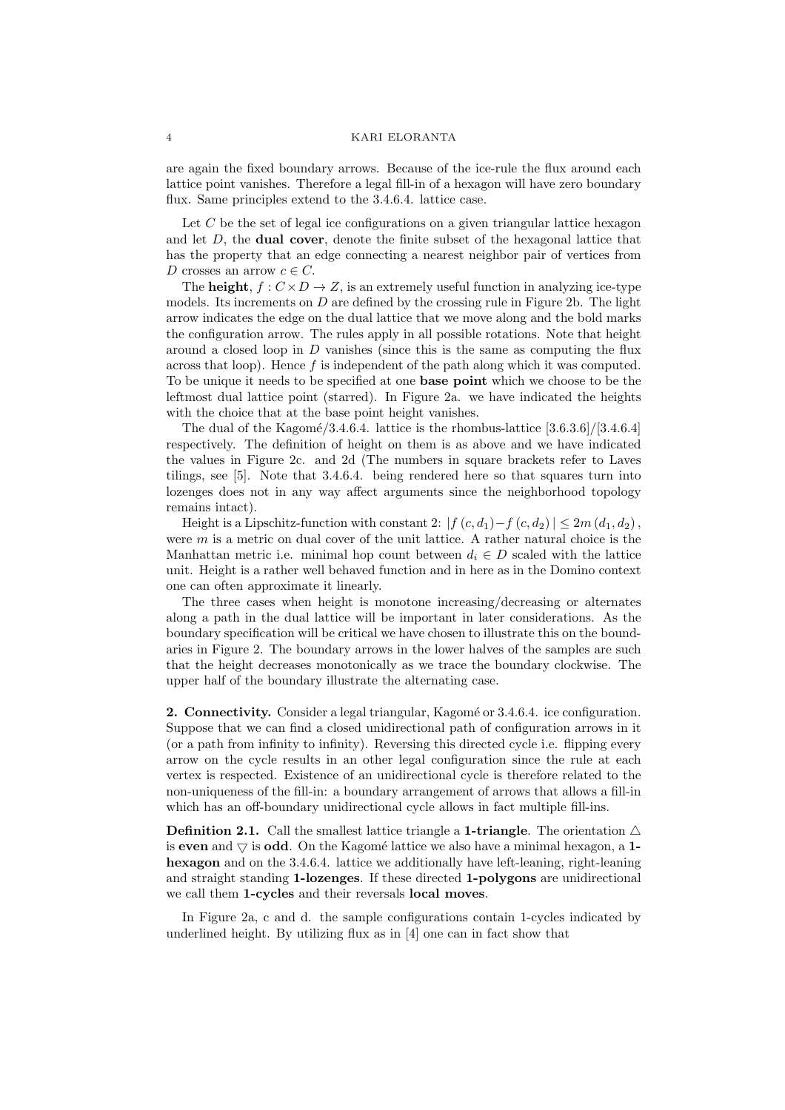are again the fixed boundary arrows. Because of the ice-rule the flux around each lattice point vanishes. Therefore a legal fill-in of a hexagon will have zero boundary flux. Same principles extend to the 3.4.6.4. lattice case.

Let  $C$  be the set of legal ice configurations on a given triangular lattice hexagon and let  $D$ , the **dual cover**, denote the finite subset of the hexagonal lattice that has the property that an edge connecting a nearest neighbor pair of vertices from D crosses an arrow  $c \in C$ .

The **height**,  $f: C \times D \rightarrow Z$ , is an extremely useful function in analyzing ice-type models. Its increments on  $D$  are defined by the crossing rule in Figure 2b. The light arrow indicates the edge on the dual lattice that we move along and the bold marks the configuration arrow. The rules apply in all possible rotations. Note that height around a closed loop in  $D$  vanishes (since this is the same as computing the flux across that loop). Hence  $f$  is independent of the path along which it was computed. To be unique it needs to be specified at one base point which we choose to be the leftmost dual lattice point (starred). In Figure 2a. we have indicated the heights with the choice that at the base point height vanishes.

The dual of the Kagomé/3.4.6.4. lattice is the rhombus-lattice  $[3.6.3.6]/[3.4.6.4]$ respectively. The definition of height on them is as above and we have indicated the values in Figure 2c. and 2d (The numbers in square brackets refer to Laves tilings, see [5]. Note that 3.4.6.4. being rendered here so that squares turn into lozenges does not in any way affect arguments since the neighborhood topology remains intact).

Height is a Lipschitz-function with constant 2:  $|f(c, d_1)-f(c, d_2)| \leq 2m(d_1, d_2)$ , were  $m$  is a metric on dual cover of the unit lattice. A rather natural choice is the Manhattan metric i.e. minimal hop count between  $d_i \in D$  scaled with the lattice unit. Height is a rather well behaved function and in here as in the Domino context one can often approximate it linearly.

The three cases when height is monotone increasing/decreasing or alternates along a path in the dual lattice will be important in later considerations. As the boundary specification will be critical we have chosen to illustrate this on the boundaries in Figure 2. The boundary arrows in the lower halves of the samples are such that the height decreases monotonically as we trace the boundary clockwise. The upper half of the boundary illustrate the alternating case.

2. Connectivity. Consider a legal triangular, Kagomé or 3.4.6.4. ice configuration. Suppose that we can find a closed unidirectional path of configuration arrows in it (or a path from infinity to infinity). Reversing this directed cycle i.e. flipping every arrow on the cycle results in an other legal configuration since the rule at each vertex is respected. Existence of an unidirectional cycle is therefore related to the non-uniqueness of the fill-in: a boundary arrangement of arrows that allows a fill-in which has an off-boundary unidirectional cycle allows in fact multiple fill-ins.

**Definition 2.1.** Call the smallest lattice triangle a **1-triangle**. The orientation  $\triangle$ is even and  $\bigtriangledown$  is odd. On the Kagomé lattice we also have a minimal hexagon, a 1hexagon and on the 3.4.6.4. lattice we additionally have left-leaning, right-leaning and straight standing 1-lozenges. If these directed 1-polygons are unidirectional we call them 1-cycles and their reversals local moves.

In Figure 2a, c and d. the sample configurations contain 1-cycles indicated by underlined height. By utilizing flux as in [4] one can in fact show that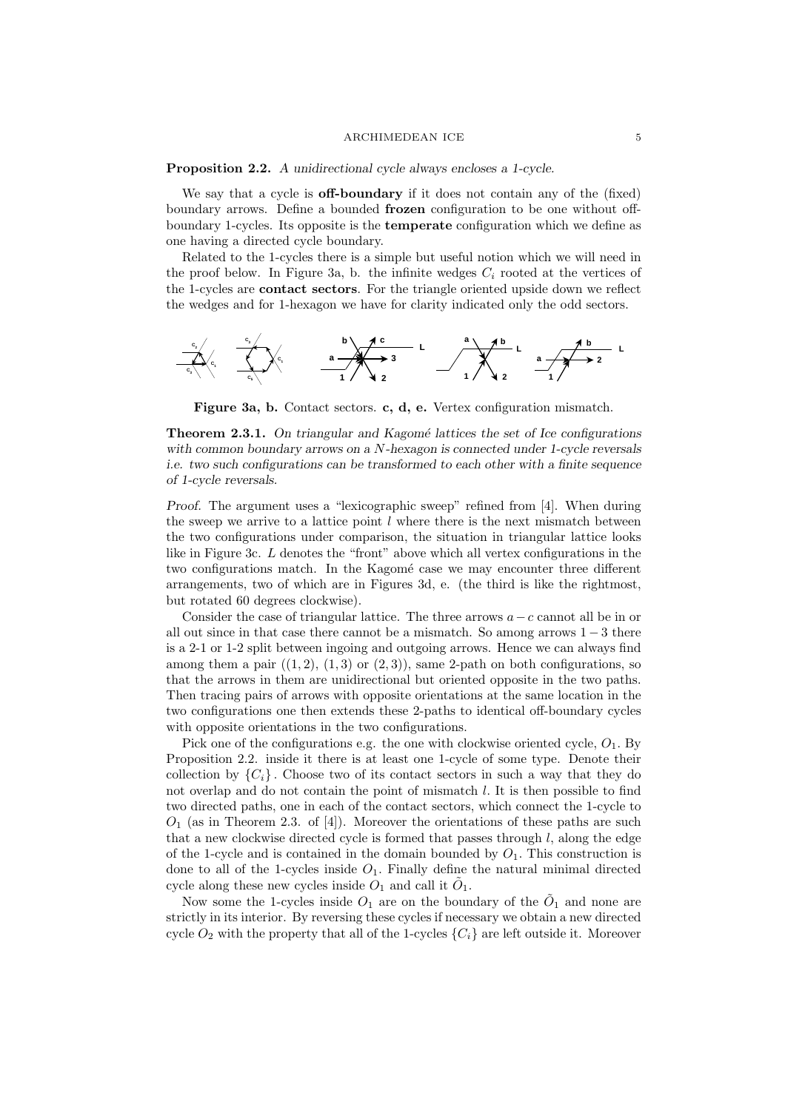#### ${\bf \small \textbf{ARCHIMEDEAN~ICE}}{\color{white}{\small \textbf{5}}}$

#### Proposition 2.2. A unidirectional cycle always encloses a 1-cycle.

We say that a cycle is **off-boundary** if it does not contain any of the (fixed) boundary arrows. Define a bounded frozen configuration to be one without offboundary 1-cycles. Its opposite is the temperate configuration which we define as one having a directed cycle boundary.

Related to the 1-cycles there is a simple but useful notion which we will need in the proof below. In Figure 3a, b. the infinite wedges  $C_i$  rooted at the vertices of the 1-cycles are contact sectors. For the triangle oriented upside down we reflect the wedges and for 1-hexagon we have for clarity indicated only the odd sectors.



Figure 3a, b. Contact sectors. c, d, e. Vertex configuration mismatch.

**Theorem 2.3.1.** On triangular and Kagomé lattices the set of Ice configurations with common boundary arrows on a N-hexagon is connected under 1-cycle reversals i.e. two such configurations can be transformed to each other with a finite sequence of 1-cycle reversals.

Proof. The argument uses a "lexicographic sweep" refined from [4]. When during the sweep we arrive to a lattice point  $l$  where there is the next mismatch between the two configurations under comparison, the situation in triangular lattice looks like in Figure 3c. L denotes the "front" above which all vertex configurations in the two configurations match. In the Kagomé case we may encounter three different arrangements, two of which are in Figures 3d, e. (the third is like the rightmost, but rotated 60 degrees clockwise).

Consider the case of triangular lattice. The three arrows  $a-c$  cannot all be in or all out since in that case there cannot be a mismatch. So among arrows  $1-3$  there is a 2-1 or 1-2 split between ingoing and outgoing arrows. Hence we can always find among them a pair  $((1, 2), (1, 3)$  or  $(2, 3)$ ), same 2-path on both configurations, so that the arrows in them are unidirectional but oriented opposite in the two paths. Then tracing pairs of arrows with opposite orientations at the same location in the two configurations one then extends these 2-paths to identical off-boundary cycles with opposite orientations in the two configurations.

Pick one of the configurations e.g. the one with clockwise oriented cycle,  $O_1$ . By Proposition 2.2. inside it there is at least one 1-cycle of some type. Denote their collection by  ${C_i}$ . Choose two of its contact sectors in such a way that they do not overlap and do not contain the point of mismatch  $l$ . It is then possible to find two directed paths, one in each of the contact sectors, which connect the 1-cycle to  $O_1$  (as in Theorem 2.3. of [4]). Moreover the orientations of these paths are such that a new clockwise directed cycle is formed that passes through  $l$ , along the edge of the 1-cycle and is contained in the domain bounded by  $O<sub>1</sub>$ . This construction is done to all of the 1-cycles inside  $O_1$ . Finally define the natural minimal directed cycle along these new cycles inside  $O_1$  and call it  $\tilde{O}_1$ .

Now some the 1-cycles inside  $O_1$  are on the boundary of the  $\tilde{O}_1$  and none are strictly in its interior. By reversing these cycles if necessary we obtain a new directed cycle  $O_2$  with the property that all of the 1-cycles  $\{C_i\}$  are left outside it. Moreover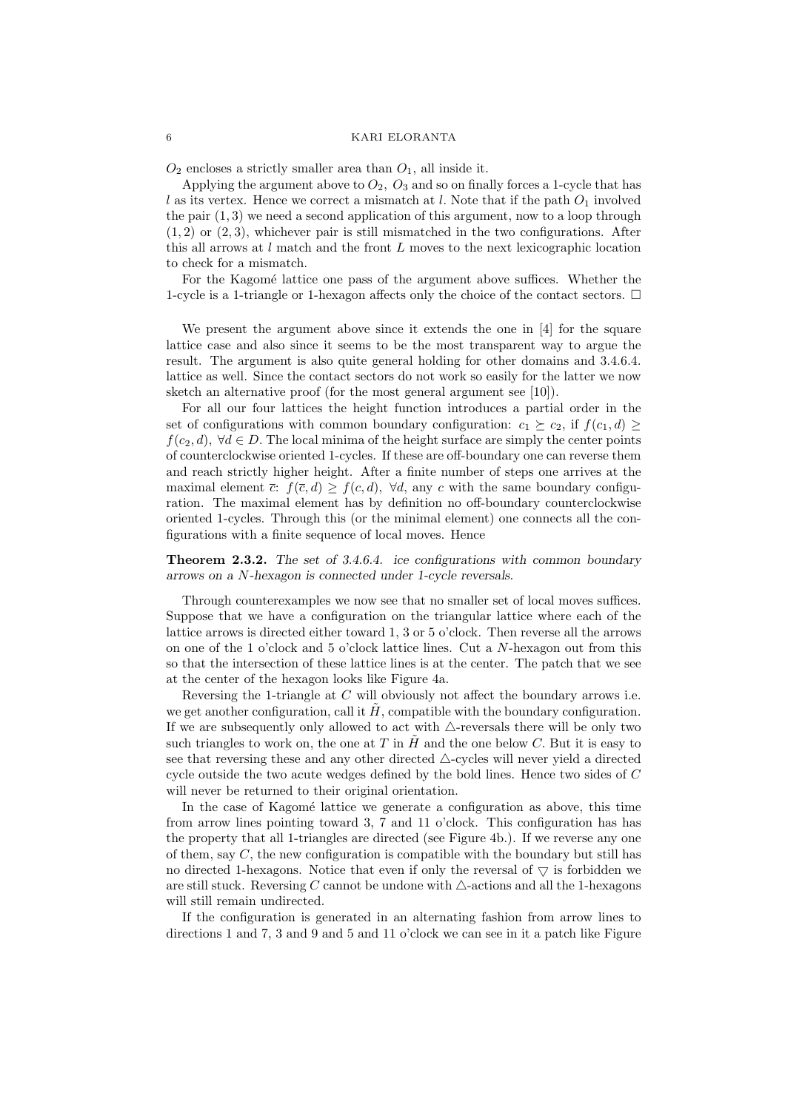$O_2$  encloses a strictly smaller area than  $O_1$ , all inside it.

Applying the argument above to  $O_2$ ,  $O_3$  and so on finally forces a 1-cycle that has l as its vertex. Hence we correct a mismatch at l. Note that if the path  $O_1$  involved the pair  $(1, 3)$  we need a second application of this argument, now to a loop through  $(1, 2)$  or  $(2, 3)$ , whichever pair is still mismatched in the two configurations. After this all arrows at l match and the front L moves to the next lexicographic location to check for a mismatch.

For the Kagomé lattice one pass of the argument above suffices. Whether the 1-cycle is a 1-triangle or 1-hexagon affects only the choice of the contact sectors.  $\Box$ 

We present the argument above since it extends the one in [4] for the square lattice case and also since it seems to be the most transparent way to argue the result. The argument is also quite general holding for other domains and 3.4.6.4. lattice as well. Since the contact sectors do not work so easily for the latter we now sketch an alternative proof (for the most general argument see [10]).

For all our four lattices the height function introduces a partial order in the set of configurations with common boundary configuration:  $c_1 \succeq c_2$ , if  $f(c_1, d) \geq$  $f(c_2, d)$ ,  $\forall d \in D$ . The local minima of the height surface are simply the center points of counterclockwise oriented 1-cycles. If these are off-boundary one can reverse them and reach strictly higher height. After a finite number of steps one arrives at the maximal element  $\bar{c}$ :  $f(\bar{c}, d) > f(c, d)$ ,  $\forall d$ , any c with the same boundary configuration. The maximal element has by definition no off-boundary counterclockwise oriented 1-cycles. Through this (or the minimal element) one connects all the configurations with a finite sequence of local moves. Hence

Theorem 2.3.2. The set of 3.4.6.4. ice configurations with common boundary arrows on a N-hexagon is connected under 1-cycle reversals.

Through counterexamples we now see that no smaller set of local moves suffices. Suppose that we have a configuration on the triangular lattice where each of the lattice arrows is directed either toward 1, 3 or 5 o'clock. Then reverse all the arrows on one of the 1 o'clock and 5 o'clock lattice lines. Cut a N-hexagon out from this so that the intersection of these lattice lines is at the center. The patch that we see at the center of the hexagon looks like Figure 4a.

Reversing the 1-triangle at C will obviously not affect the boundary arrows i.e. we get another configuration, call it  $\hat{H}$ , compatible with the boundary configuration. If we are subsequently only allowed to act with  $\triangle$ -reversals there will be only two such triangles to work on, the one at T in  $\tilde{H}$  and the one below C. But it is easy to see that reversing these and any other directed  $\triangle$ -cycles will never yield a directed cycle outside the two acute wedges defined by the bold lines. Hence two sides of C will never be returned to their original orientation.

In the case of Kagomé lattice we generate a configuration as above, this time from arrow lines pointing toward 3, 7 and 11 o'clock. This configuration has has the property that all 1-triangles are directed (see Figure 4b.). If we reverse any one of them, say  $C$ , the new configuration is compatible with the boundary but still has no directed 1-hexagons. Notice that even if only the reversal of  $\triangledown$  is forbidden we are still stuck. Reversing C cannot be undone with  $\triangle$ -actions and all the 1-hexagons will still remain undirected.

If the configuration is generated in an alternating fashion from arrow lines to directions 1 and 7, 3 and 9 and 5 and 11 o'clock we can see in it a patch like Figure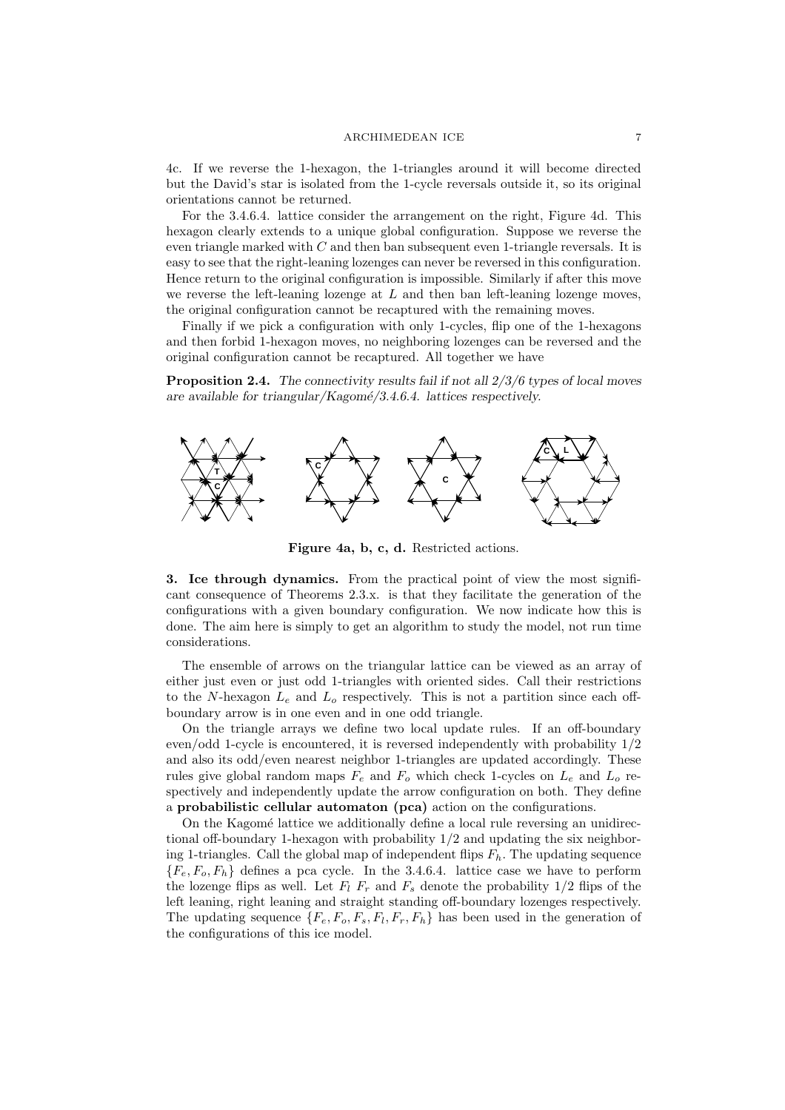#### ARCHIMEDEAN ICE 7

4c. If we reverse the 1-hexagon, the 1-triangles around it will become directed but the David's star is isolated from the 1-cycle reversals outside it, so its original orientations cannot be returned.

For the 3.4.6.4. lattice consider the arrangement on the right, Figure 4d. This hexagon clearly extends to a unique global configuration. Suppose we reverse the even triangle marked with  $C$  and then ban subsequent even 1-triangle reversals. It is easy to see that the right-leaning lozenges can never be reversed in this configuration. Hence return to the original configuration is impossible. Similarly if after this move we reverse the left-leaning lozenge at  $L$  and then ban left-leaning lozenge moves, the original configuration cannot be recaptured with the remaining moves.

Finally if we pick a configuration with only 1-cycles, flip one of the 1-hexagons and then forbid 1-hexagon moves, no neighboring lozenges can be reversed and the original configuration cannot be recaptured. All together we have

**Proposition 2.4.** The connectivity results fail if not all  $2/3/6$  types of local moves are available for triangular/Kagomé/3.4.6.4. lattices respectively.



Figure 4a, b, c, d. Restricted actions.

3. Ice through dynamics. From the practical point of view the most significant consequence of Theorems 2.3.x. is that they facilitate the generation of the configurations with a given boundary configuration. We now indicate how this is done. The aim here is simply to get an algorithm to study the model, not run time considerations.

The ensemble of arrows on the triangular lattice can be viewed as an array of either just even or just odd 1-triangles with oriented sides. Call their restrictions to the N-hexagon  $L_e$  and  $L_o$  respectively. This is not a partition since each offboundary arrow is in one even and in one odd triangle.

On the triangle arrays we define two local update rules. If an off-boundary even/odd 1-cycle is encountered, it is reversed independently with probability 1/2 and also its odd/even nearest neighbor 1-triangles are updated accordingly. These rules give global random maps  $F_e$  and  $F_o$  which check 1-cycles on  $L_e$  and  $L_o$  respectively and independently update the arrow configuration on both. They define a probabilistic cellular automaton (pca) action on the configurations.

On the Kagomé lattice we additionally define a local rule reversing an unidirectional off-boundary 1-hexagon with probability 1/2 and updating the six neighboring 1-triangles. Call the global map of independent flips  $F_h$ . The updating sequence  ${F_e, F_o, F_h}$  defines a pca cycle. In the 3.4.6.4. lattice case we have to perform the lozenge flips as well. Let  $F_l$   $F_r$  and  $F_s$  denote the probability 1/2 flips of the left leaning, right leaning and straight standing off-boundary lozenges respectively. The updating sequence  $\{F_e, F_o, F_s, F_l, F_r, F_h\}$  has been used in the generation of the configurations of this ice model.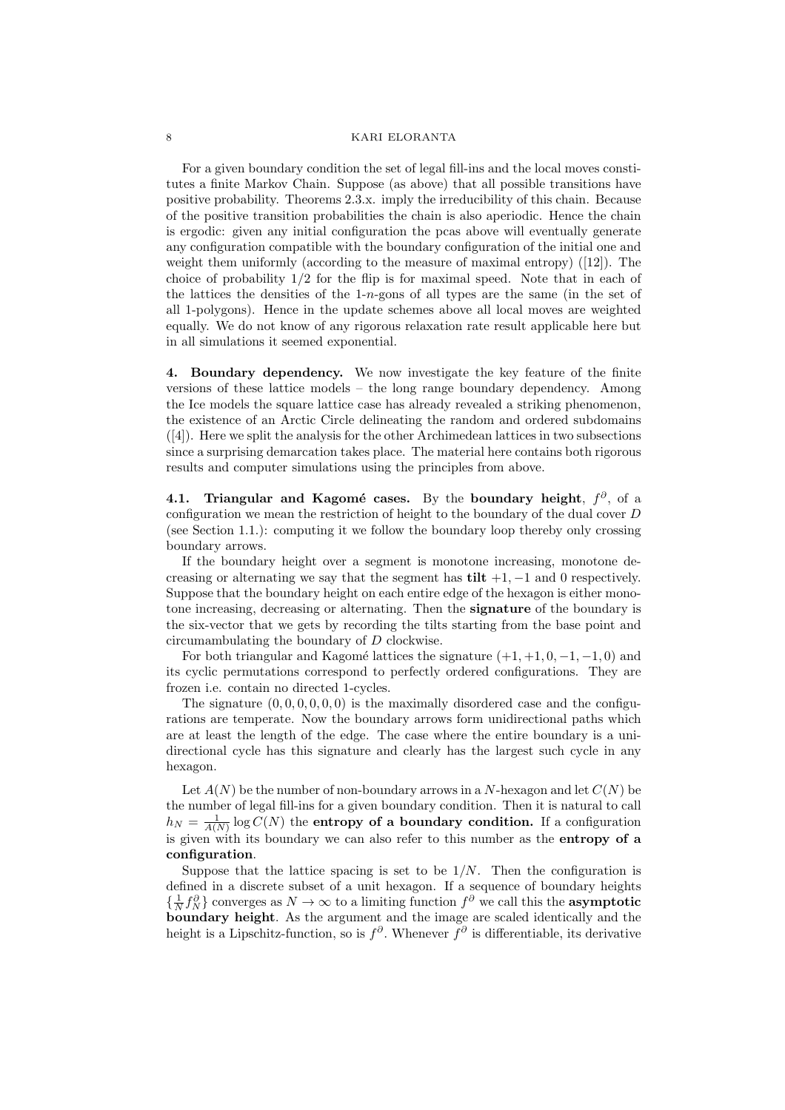For a given boundary condition the set of legal fill-ins and the local moves constitutes a finite Markov Chain. Suppose (as above) that all possible transitions have positive probability. Theorems 2.3.x. imply the irreducibility of this chain. Because of the positive transition probabilities the chain is also aperiodic. Hence the chain is ergodic: given any initial configuration the pcas above will eventually generate any configuration compatible with the boundary configuration of the initial one and weight them uniformly (according to the measure of maximal entropy) ([12]). The choice of probability 1/2 for the flip is for maximal speed. Note that in each of the lattices the densities of the 1-n-gons of all types are the same (in the set of all 1-polygons). Hence in the update schemes above all local moves are weighted equally. We do not know of any rigorous relaxation rate result applicable here but in all simulations it seemed exponential.

4. Boundary dependency. We now investigate the key feature of the finite versions of these lattice models – the long range boundary dependency. Among the Ice models the square lattice case has already revealed a striking phenomenon, the existence of an Arctic Circle delineating the random and ordered subdomains ([4]). Here we split the analysis for the other Archimedean lattices in two subsections since a surprising demarcation takes place. The material here contains both rigorous results and computer simulations using the principles from above.

4.1. Triangular and Kagomé cases. By the boundary height,  $f^{\partial}$ , of a configuration we mean the restriction of height to the boundary of the dual cover D (see Section 1.1.): computing it we follow the boundary loop thereby only crossing boundary arrows.

If the boundary height over a segment is monotone increasing, monotone decreasing or alternating we say that the segment has tilt  $+1$ ,  $-1$  and 0 respectively. Suppose that the boundary height on each entire edge of the hexagon is either monotone increasing, decreasing or alternating. Then the signature of the boundary is the six-vector that we gets by recording the tilts starting from the base point and circumambulating the boundary of D clockwise.

For both triangular and Kagomé lattices the signature  $(+1, +1, 0, -1, -1, 0)$  and its cyclic permutations correspond to perfectly ordered configurations. They are frozen i.e. contain no directed 1-cycles.

The signature  $(0, 0, 0, 0, 0, 0)$  is the maximally disordered case and the configurations are temperate. Now the boundary arrows form unidirectional paths which are at least the length of the edge. The case where the entire boundary is a unidirectional cycle has this signature and clearly has the largest such cycle in any hexagon.

Let  $A(N)$  be the number of non-boundary arrows in a N-hexagon and let  $C(N)$  be the number of legal fill-ins for a given boundary condition. Then it is natural to call  $h_N = \frac{1}{A(N)} \log C(N)$  the entropy of a boundary condition. If a configuration is given with its boundary we can also refer to this number as the entropy of a configuration.

Suppose that the lattice spacing is set to be  $1/N$ . Then the configuration is defined in a discrete subset of a unit hexagon. If a sequence of boundary heights  $\{\frac{1}{N}f_N^{\partial}\}\)$  converges as  $N\to\infty$  to a limiting function  $f^{\partial}$  we call this the **asymptotic** boundary height. As the argument and the image are scaled identically and the height is a Lipschitz-function, so is  $f^{\partial}$ . Whenever  $\tilde{f}^{\partial}$  is differentiable, its derivative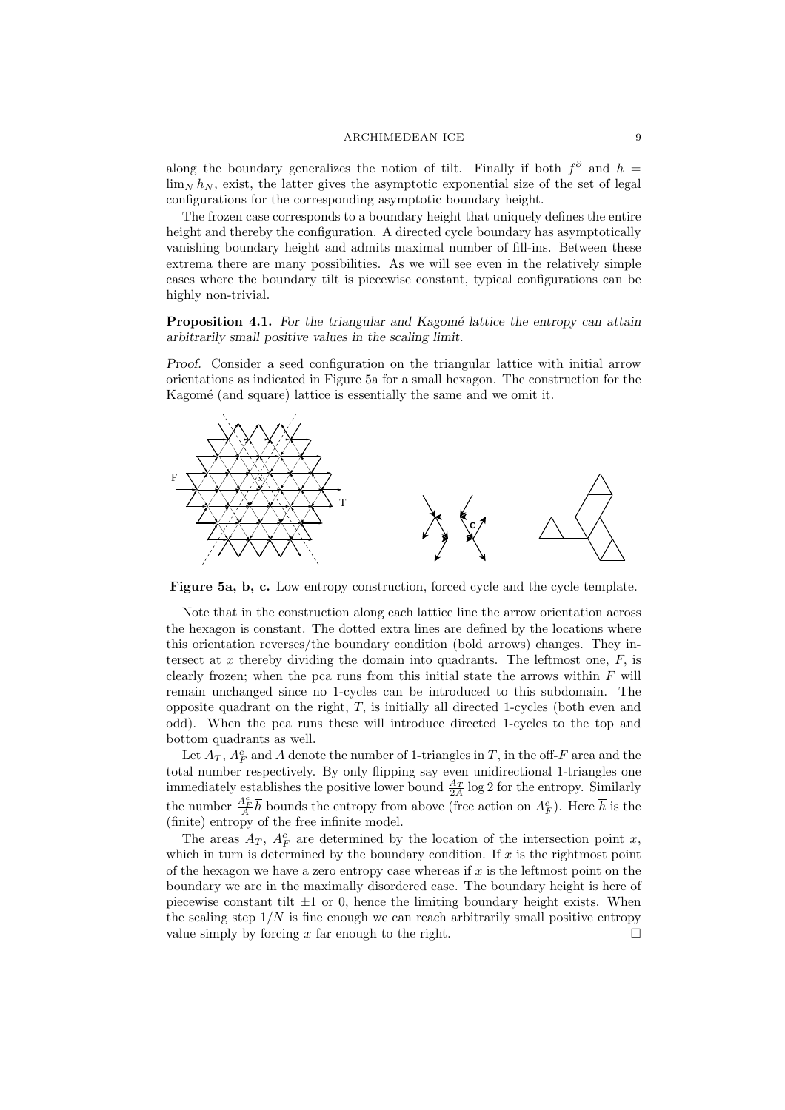### ARCHIMEDEAN ICE 9

along the boundary generalizes the notion of tilt. Finally if both  $f^{\partial}$  and  $h =$  $\lim_{N} h_N$ , exist, the latter gives the asymptotic exponential size of the set of legal configurations for the corresponding asymptotic boundary height.

The frozen case corresponds to a boundary height that uniquely defines the entire height and thereby the configuration. A directed cycle boundary has asymptotically vanishing boundary height and admits maximal number of fill-ins. Between these extrema there are many possibilities. As we will see even in the relatively simple cases where the boundary tilt is piecewise constant, typical configurations can be highly non-trivial.

Proposition 4.1. For the triangular and Kagomé lattice the entropy can attain arbitrarily small positive values in the scaling limit.

Proof. Consider a seed configuration on the triangular lattice with initial arrow orientations as indicated in Figure 5a for a small hexagon. The construction for the Kagomé (and square) lattice is essentially the same and we omit it.



Figure 5a, b, c. Low entropy construction, forced cycle and the cycle template.

Note that in the construction along each lattice line the arrow orientation across the hexagon is constant. The dotted extra lines are defined by the locations where this orientation reverses/the boundary condition (bold arrows) changes. They intersect at  $x$  thereby dividing the domain into quadrants. The leftmost one,  $F$ , is clearly frozen; when the pca runs from this initial state the arrows within  $F$  will remain unchanged since no 1-cycles can be introduced to this subdomain. The opposite quadrant on the right,  $T$ , is initially all directed 1-cycles (both even and odd). When the pca runs these will introduce directed 1-cycles to the top and bottom quadrants as well.

Let  $A_T$ ,  $A_F^c$  and A denote the number of 1-triangles in T, in the off-F area and the total number respectively. By only flipping say even unidirectional 1-triangles one immediately establishes the positive lower bound  $\frac{A_T}{2A}$  log 2 for the entropy. Similarly the number  $\frac{A_F^c}{A} \overline{h}$  bounds the entropy from above (free action on  $A_F^c$ ). Here  $\overline{h}$  is the (finite) entropy of the free infinite model.

The areas  $A_T$ ,  $A_F^c$  are determined by the location of the intersection point x, which in turn is determined by the boundary condition. If  $x$  is the rightmost point of the hexagon we have a zero entropy case whereas if  $x$  is the leftmost point on the boundary we are in the maximally disordered case. The boundary height is here of piecewise constant tilt  $\pm 1$  or 0, hence the limiting boundary height exists. When the scaling step  $1/N$  is fine enough we can reach arbitrarily small positive entropy value simply by forcing x far enough to the right.  $\square$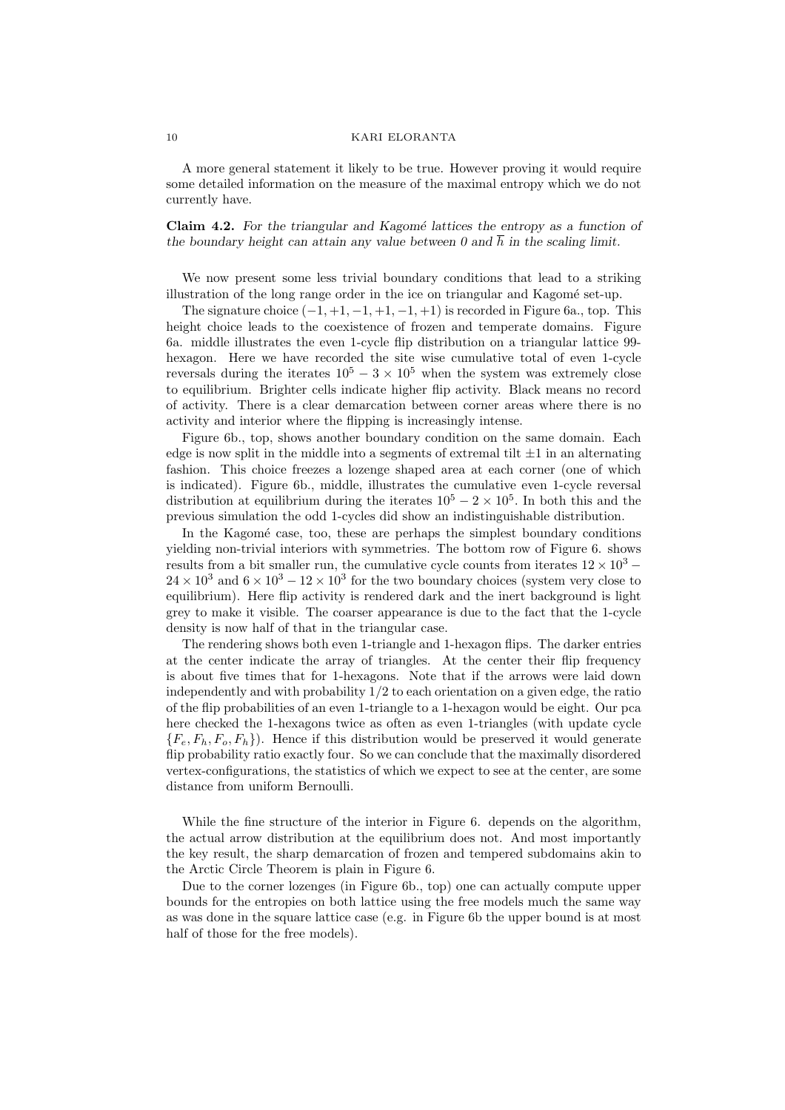A more general statement it likely to be true. However proving it would require some detailed information on the measure of the maximal entropy which we do not currently have.

Claim  $4.2$ . For the triangular and Kagomé lattices the entropy as a function of the boundary height can attain any value between 0 and  $\overline{h}$  in the scaling limit.

We now present some less trivial boundary conditions that lead to a striking illustration of the long range order in the ice on triangular and Kagomé set-up.

The signature choice  $(-1, +1, -1, +1, -1, +1)$  is recorded in Figure 6a., top. This height choice leads to the coexistence of frozen and temperate domains. Figure 6a. middle illustrates the even 1-cycle flip distribution on a triangular lattice 99 hexagon. Here we have recorded the site wise cumulative total of even 1-cycle reversals during the iterates  $10^5 - 3 \times 10^5$  when the system was extremely close to equilibrium. Brighter cells indicate higher flip activity. Black means no record of activity. There is a clear demarcation between corner areas where there is no activity and interior where the flipping is increasingly intense.

Figure 6b., top, shows another boundary condition on the same domain. Each edge is now split in the middle into a segments of extremal tilt  $\pm 1$  in an alternating fashion. This choice freezes a lozenge shaped area at each corner (one of which is indicated). Figure 6b., middle, illustrates the cumulative even 1-cycle reversal distribution at equilibrium during the iterates  $10^5 - 2 \times 10^5$ . In both this and the previous simulation the odd 1-cycles did show an indistinguishable distribution.

In the Kagomé case, too, these are perhaps the simplest boundary conditions yielding non-trivial interiors with symmetries. The bottom row of Figure 6. shows results from a bit smaller run, the cumulative cycle counts from iterates  $12 \times 10^3$  –  $24 \times 10^3$  and  $6 \times 10^3 - 12 \times 10^3$  for the two boundary choices (system very close to equilibrium). Here flip activity is rendered dark and the inert background is light grey to make it visible. The coarser appearance is due to the fact that the 1-cycle density is now half of that in the triangular case.

The rendering shows both even 1-triangle and 1-hexagon flips. The darker entries at the center indicate the array of triangles. At the center their flip frequency is about five times that for 1-hexagons. Note that if the arrows were laid down independently and with probability 1/2 to each orientation on a given edge, the ratio of the flip probabilities of an even 1-triangle to a 1-hexagon would be eight. Our pca here checked the 1-hexagons twice as often as even 1-triangles (with update cycle  ${F_{\epsilon}, F_h, F_o, F_h}$ . Hence if this distribution would be preserved it would generate flip probability ratio exactly four. So we can conclude that the maximally disordered vertex-configurations, the statistics of which we expect to see at the center, are some distance from uniform Bernoulli.

While the fine structure of the interior in Figure 6. depends on the algorithm, the actual arrow distribution at the equilibrium does not. And most importantly the key result, the sharp demarcation of frozen and tempered subdomains akin to the Arctic Circle Theorem is plain in Figure 6.

Due to the corner lozenges (in Figure 6b., top) one can actually compute upper bounds for the entropies on both lattice using the free models much the same way as was done in the square lattice case (e.g. in Figure 6b the upper bound is at most half of those for the free models).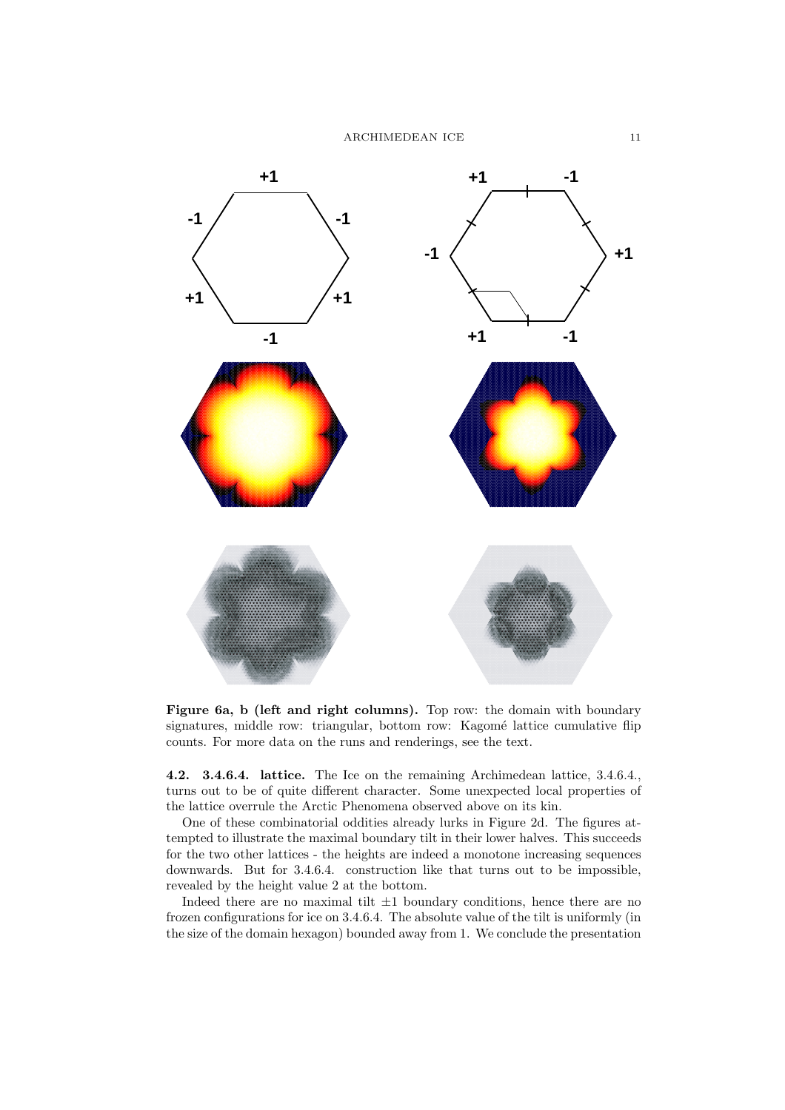

Figure 6a, b (left and right columns). Top row: the domain with boundary signatures, middle row: triangular, bottom row: Kagomé lattice cumulative flip counts. For more data on the runs and renderings, see the text.

4.2. 3.4.6.4. lattice. The Ice on the remaining Archimedean lattice, 3.4.6.4., turns out to be of quite different character. Some unexpected local properties of the lattice overrule the Arctic Phenomena observed above on its kin.

One of these combinatorial oddities already lurks in Figure 2d. The figures attempted to illustrate the maximal boundary tilt in their lower halves. This succeeds for the two other lattices - the heights are indeed a monotone increasing sequences downwards. But for 3.4.6.4. construction like that turns out to be impossible, revealed by the height value 2 at the bottom.

Indeed there are no maximal tilt  $\pm 1$  boundary conditions, hence there are no frozen configurations for ice on 3.4.6.4. The absolute value of the tilt is uniformly (in the size of the domain hexagon) bounded away from 1. We conclude the presentation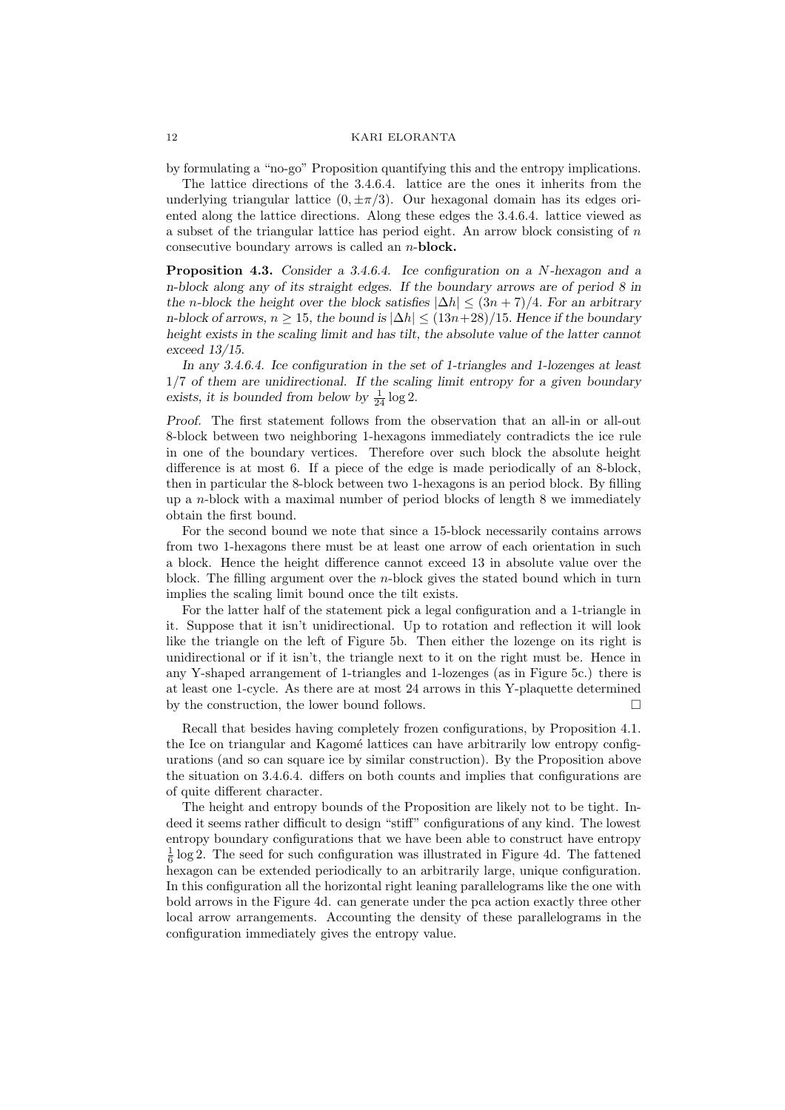by formulating a "no-go" Proposition quantifying this and the entropy implications.

The lattice directions of the 3.4.6.4. lattice are the ones it inherits from the underlying triangular lattice  $(0, \pm \pi/3)$ . Our hexagonal domain has its edges oriented along the lattice directions. Along these edges the 3.4.6.4. lattice viewed as a subset of the triangular lattice has period eight. An arrow block consisting of  $n$ consecutive boundary arrows is called an n-block.

Proposition 4.3. Consider a 3.4.6.4. Ice configuration on a N-hexagon and a n-block along any of its straight edges. If the boundary arrows are of period 8 in the n-block the height over the block satisfies  $|\Delta h| \leq (3n + 7)/4$ . For an arbitrary n-block of arrows,  $n \geq 15$ , the bound is  $|\Delta h| \leq (13n+28)/15$ . Hence if the boundary height exists in the scaling limit and has tilt, the absolute value of the latter cannot exceed 13/15.

In any 3.4.6.4. Ice configuration in the set of 1-triangles and 1-lozenges at least 1/7 of them are unidirectional. If the scaling limit entropy for a given boundary exists, it is bounded from below by  $\frac{1}{24} \log 2$ .

Proof. The first statement follows from the observation that an all-in or all-out 8-block between two neighboring 1-hexagons immediately contradicts the ice rule in one of the boundary vertices. Therefore over such block the absolute height difference is at most 6. If a piece of the edge is made periodically of an 8-block, then in particular the 8-block between two 1-hexagons is an period block. By filling up a n-block with a maximal number of period blocks of length 8 we immediately obtain the first bound.

For the second bound we note that since a 15-block necessarily contains arrows from two 1-hexagons there must be at least one arrow of each orientation in such a block. Hence the height difference cannot exceed 13 in absolute value over the block. The filling argument over the n-block gives the stated bound which in turn implies the scaling limit bound once the tilt exists.

For the latter half of the statement pick a legal configuration and a 1-triangle in it. Suppose that it isn't unidirectional. Up to rotation and reflection it will look like the triangle on the left of Figure 5b. Then either the lozenge on its right is unidirectional or if it isn't, the triangle next to it on the right must be. Hence in any Y-shaped arrangement of 1-triangles and 1-lozenges (as in Figure 5c.) there is at least one 1-cycle. As there are at most 24 arrows in this Y-plaquette determined by the construction, the lower bound follows.

Recall that besides having completely frozen configurations, by Proposition 4.1. the Ice on triangular and Kagomé lattices can have arbitrarily low entropy configurations (and so can square ice by similar construction). By the Proposition above the situation on 3.4.6.4. differs on both counts and implies that configurations are of quite different character.

The height and entropy bounds of the Proposition are likely not to be tight. Indeed it seems rather difficult to design "stiff" configurations of any kind. The lowest entropy boundary configurations that we have been able to construct have entropy  $\frac{1}{6}$  log 2. The seed for such configuration was illustrated in Figure 4d. The fattened hexagon can be extended periodically to an arbitrarily large, unique configuration. In this configuration all the horizontal right leaning parallelograms like the one with bold arrows in the Figure 4d. can generate under the pca action exactly three other local arrow arrangements. Accounting the density of these parallelograms in the configuration immediately gives the entropy value.